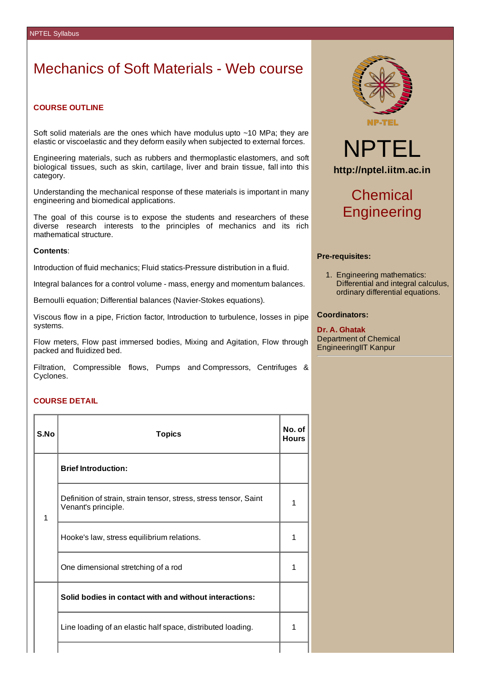## Mechanics of Soft Materials - Web course

## **COURSE OUTLINE**

Soft solid materials are the ones which have modulus upto ~10 MPa; they are elastic or viscoelastic and they deform easily when subjected to external forces.

Engineering materials, such as rubbers and thermoplastic elastomers, and soft biological tissues, such as skin, cartilage, liver and brain tissue, fall into this category.

Understanding the mechanical response of these materials is important in many engineering and biomedical applications.

The goal of this course is to expose the students and researchers of these diverse research interests to the principles of mechanics and its rich mathematical structure.

### **Contents**:

Introduction of fluid mechanics; Fluid statics-Pressure distribution in a fluid.

Integral balances for a control volume - mass, energy and momentum balances.

Bernoulli equation; Differential balances (Navier-Stokes equations).

Viscous flow in a pipe, Friction factor, Introduction to turbulence, losses in pipe systems.

Flow meters, Flow past immersed bodies, Mixing and Agitation, Flow through packed and fluidized bed.

Filtration, Compressible flows, Pumps and Compressors, Centrifuges & Cyclones.

### **COURSE DETAIL**

| S.No         | <b>Topics</b>                                                                            | No. of<br><b>Hours</b> |  |
|--------------|------------------------------------------------------------------------------------------|------------------------|--|
|              | <b>Brief Introduction:</b>                                                               |                        |  |
| $\mathbf{1}$ | Definition of strain, strain tensor, stress, stress tensor, Saint<br>Venant's principle. |                        |  |
|              | Hooke's law, stress equilibrium relations.                                               | 1                      |  |
|              | One dimensional stretching of a rod                                                      | 1                      |  |
|              | Solid bodies in contact with and without interactions:                                   |                        |  |
|              | Line loading of an elastic half space, distributed loading.                              | $\mathbf{1}$           |  |
|              |                                                                                          |                        |  |



# NPTEL **http://nptel.iitm.ac.in**

# Chemical **Engineering**

### **Pre-requisites:**

1. Engineering mathematics: Differential and integral calculus, ordinary differential equations.

### **Coordinators:**

**Dr. A. Ghatak** Department of Chemical EngineeringIIT Kanpur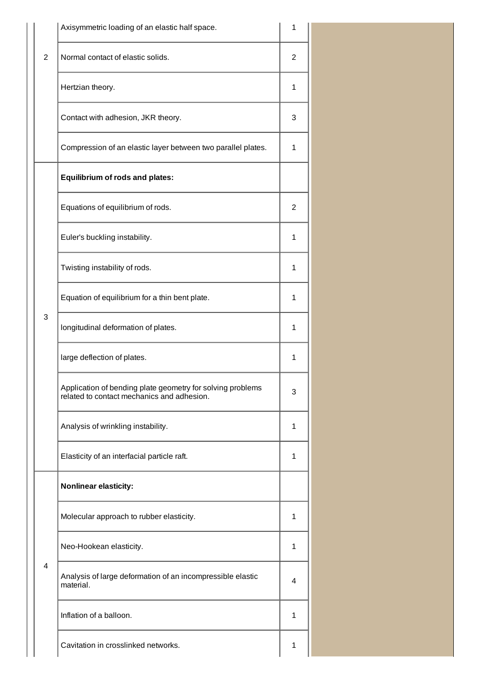|                | Axisymmetric loading of an elastic half space.                                                           |   |  |
|----------------|----------------------------------------------------------------------------------------------------------|---|--|
| $\overline{2}$ | Normal contact of elastic solids.                                                                        | 2 |  |
|                | Hertzian theory.                                                                                         | 1 |  |
|                | Contact with adhesion, JKR theory.                                                                       | 3 |  |
|                | Compression of an elastic layer between two parallel plates.                                             | 1 |  |
|                | <b>Equilibrium of rods and plates:</b>                                                                   |   |  |
|                | Equations of equilibrium of rods.                                                                        | 2 |  |
|                | Euler's buckling instability.                                                                            | 1 |  |
| 3              | Twisting instability of rods.                                                                            | 1 |  |
|                | Equation of equilibrium for a thin bent plate.                                                           | 1 |  |
|                | longitudinal deformation of plates.                                                                      | 1 |  |
|                | large deflection of plates.                                                                              | 1 |  |
|                | Application of bending plate geometry for solving problems<br>related to contact mechanics and adhesion. | 3 |  |
|                | Analysis of wrinkling instability.                                                                       | 1 |  |
|                | Elasticity of an interfacial particle raft.                                                              | 1 |  |
|                | <b>Nonlinear elasticity:</b>                                                                             |   |  |
|                | Molecular approach to rubber elasticity.                                                                 | 1 |  |
|                | Neo-Hookean elasticity.                                                                                  | 1 |  |
| $\overline{4}$ | Analysis of large deformation of an incompressible elastic<br>material.                                  | 4 |  |
|                | Inflation of a balloon.                                                                                  | 1 |  |
|                | Cavitation in crosslinked networks.                                                                      | 1 |  |